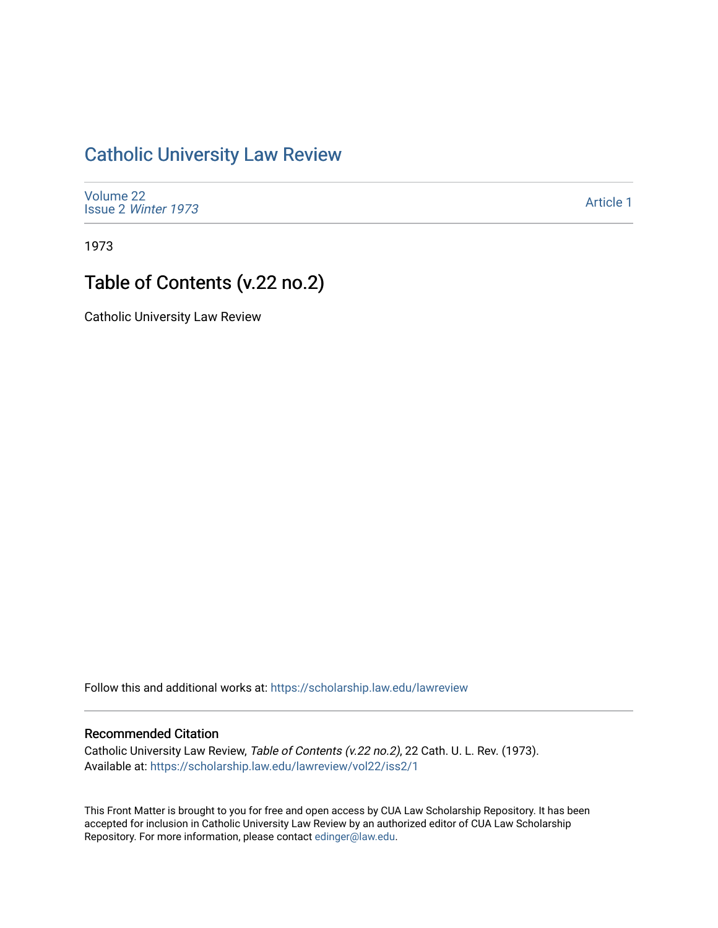## [Catholic University Law Review](https://scholarship.law.edu/lawreview)

[Volume 22](https://scholarship.law.edu/lawreview/vol22) Issue 2 [Winter 1973](https://scholarship.law.edu/lawreview/vol22/iss2) 

[Article 1](https://scholarship.law.edu/lawreview/vol22/iss2/1) 

1973

## Table of Contents (v.22 no.2)

Catholic University Law Review

Follow this and additional works at: [https://scholarship.law.edu/lawreview](https://scholarship.law.edu/lawreview?utm_source=scholarship.law.edu%2Flawreview%2Fvol22%2Fiss2%2F1&utm_medium=PDF&utm_campaign=PDFCoverPages)

#### Recommended Citation

Catholic University Law Review, Table of Contents (v.22 no.2), 22 Cath. U. L. Rev. (1973). Available at: [https://scholarship.law.edu/lawreview/vol22/iss2/1](https://scholarship.law.edu/lawreview/vol22/iss2/1?utm_source=scholarship.law.edu%2Flawreview%2Fvol22%2Fiss2%2F1&utm_medium=PDF&utm_campaign=PDFCoverPages)

This Front Matter is brought to you for free and open access by CUA Law Scholarship Repository. It has been accepted for inclusion in Catholic University Law Review by an authorized editor of CUA Law Scholarship Repository. For more information, please contact [edinger@law.edu.](mailto:edinger@law.edu)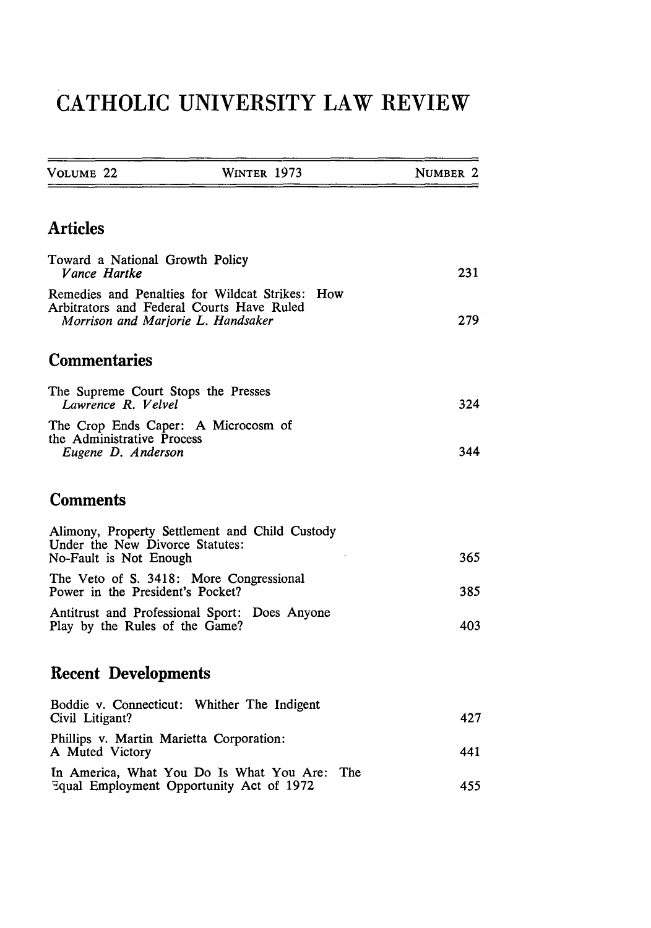# **CATHOLIC UNIVERSITY LAW REVIEW**

<u> 2001 - Jan James Alexander (d. 1989)</u>

| Volume 22                                                                                                                             | <b>WINTER 1973</b>                                                                          | NUMBER 2 |
|---------------------------------------------------------------------------------------------------------------------------------------|---------------------------------------------------------------------------------------------|----------|
| <b>Articles</b>                                                                                                                       |                                                                                             |          |
| Toward a National Growth Policy<br>Vance Hartke                                                                                       | 231                                                                                         |          |
| Remedies and Penalties for Wildcat Strikes:<br>How<br>Arbitrators and Federal Courts Have Ruled<br>Morrison and Marjorie L. Handsaker |                                                                                             | 279      |
| <b>Commentaries</b>                                                                                                                   |                                                                                             |          |
| The Supreme Court Stops the Presses<br>Lawrence R. Velvel                                                                             |                                                                                             | 324      |
| The Crop Ends Caper: A Microcosm of<br>the Administrative Process<br>Eugene D. Anderson                                               |                                                                                             | 344      |
| <b>Comments</b>                                                                                                                       |                                                                                             |          |
| Under the New Divorce Statutes:<br>No-Fault is Not Enough                                                                             | Alimony, Property Settlement and Child Custody                                              | 365      |
| The Veto of S. 3418: More Congressional<br>Power in the President's Pocket?                                                           |                                                                                             | 385      |
| Antitrust and Professional Sport: Does Anyone<br>Play by the Rules of the Game?                                                       |                                                                                             | 403      |
| <b>Recent Developments</b>                                                                                                            |                                                                                             |          |
| Civil Litigant?                                                                                                                       | Boddie v. Connecticut: Whither The Indigent                                                 | 427      |
| Phillips v. Martin Marietta Corporation:<br>A Muted Victory                                                                           | 441                                                                                         |          |
|                                                                                                                                       | In America, What You Do Is What You Are:<br>The<br>Equal Employment Opportunity Act of 1972 | 455      |